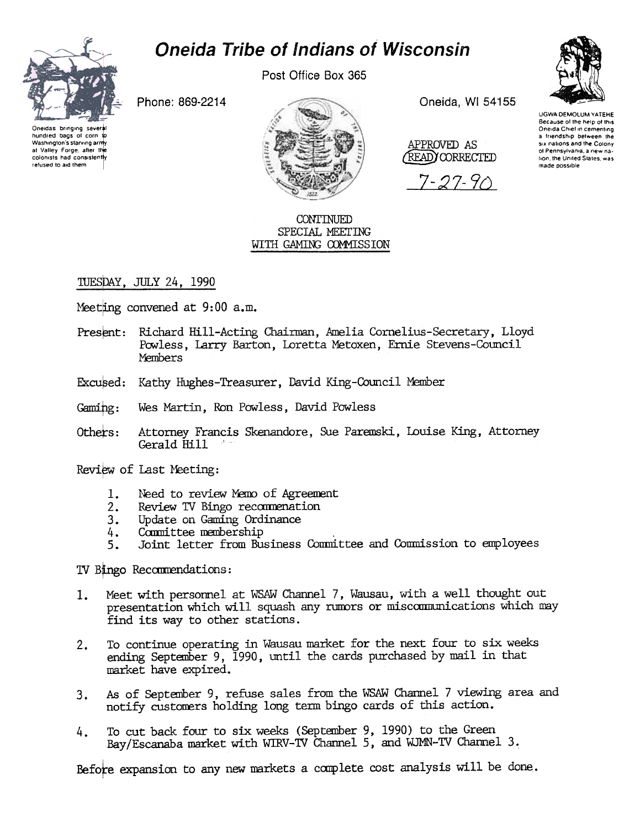## **Oneida Tribe of Indians of Wisconsin**



Washington's starving army

at Valley Forge, after the

colonists had consistently

refused to aid them

Post Office Box 365

Phone: 869-2214



CONTINUED SPECIAL MEETING WITH GAMING COMMISSION Oneida. WI 54155

APPROVED AS READYCORRECTED

 $7 - 27 - 9$ 



UGWA DEMOLUM YATEHE Because of the help of this Oneida Chief in cementing a friendship between the six nations and the Colony of Pennsylvania a new nation, the United States, was made possible

## TUESDAY, JULY 24, 1990

Meetting convened at 9:00 a.m.

- Present: Richard Hill-Acting Chairman, Amelia Cornelius-Secretary, Lloyd Powless, Larry Barton, Loretta Metoxen, Ernie Stevens-Council Members
- Excused: Kathy Hughes-Treasurer, David King-Council Member
- $Gaming:$ Wes Martin, Ron Powless, David Powless
- Attorney Francis Skenandore, Sue Paremski, Louise King, Attorney Others: Gerald Hill

Review of Last Meeting:

- Need to review Memo of Agreement 1.
- Review TV Bingo recommenation  $2.$
- Update on Gaming Ordinance  $3.$
- Committee membership  $4.$
- Joint letter from Business Committee and Commission to employees  $5<sub>1</sub>$

TV Bingo Recommendations:

- Meet with personnel at WSAW Channel 7, Wausau, with a well thought out 1. presentation which will squash any rumors or miscommunications which may find its way to other stations.
- To continue operating in Wausau market for the next four to six weeks  $2.$ ending September 9, 1990, until the cards purchased by mail in that market have expired.
- As of September 9, refuse sales from the WSAW Channel 7 viewing area and  $3.$ notify customers holding long term bingo cards of this action.
- To cut back four to six weeks (September 9, 1990) to the Green 4. Bay/Escanaba market with WIRV-TV Channel 5, and WJMN-TV Channel 3.

Before expansion to any new markets a complete cost analysis will be done.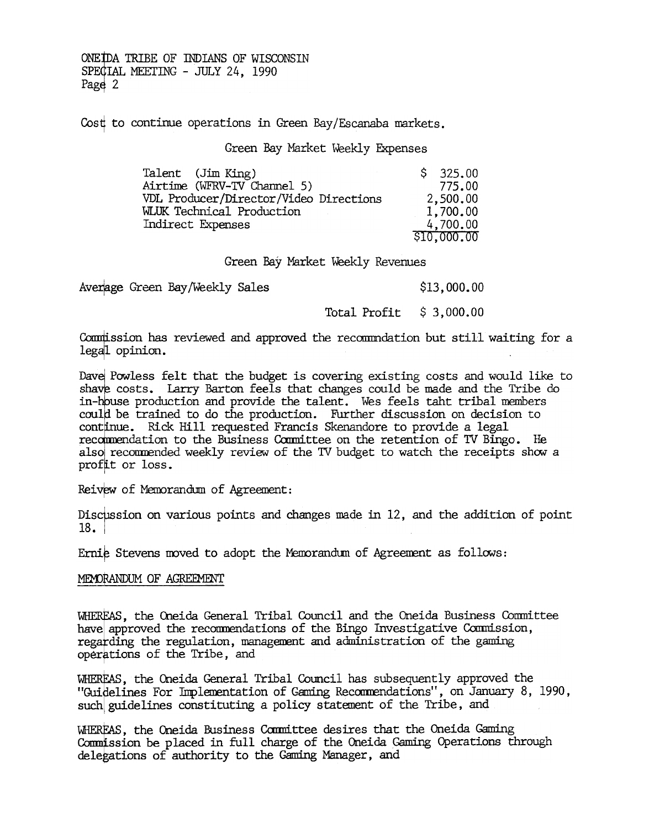ONE TO TRIBE OF INDIANS OF WISCONSIN SPECIAL MEETING - JULY 24, 1990 Page 2

Cost to continue operations in Green Bay/Escanaba markets.

Green Bay Market Weekly Expenses

| Talent (Jim King)                      | \$325.00    |
|----------------------------------------|-------------|
| Airtime (WFRV-TV Channel 5)            | 775.00      |
| VDL Producer/Director/Video Directions | 2,500,00    |
| <b>WLUK Technical Production</b>       | 1,700.00    |
| Indirect Expenses                      | 4,700.00    |
|                                        | \$10,000.00 |

Green Bay Market Weekly Revenues

Averlage Green Bay/Weekly Sales \$13,000.00

Total Profit \$ 3,000.00

Commission has reviewed and approved the recommodation but still waiting for a legal opinion.

Dave Powless felt that the budget is covering existing costs and would like to shave costs. Larry Barton feels that changes could be made and the Tribe do in-bouse production and provide the talent. Wes feels taht tribal members could be trained to do the production. Further discussion on decision to continue. Rick Hill requested Francis Skenandore to provide a legal recommendation to the Business Committee on the retention of TV Bingo. He also recommended weekly review of the TV budget to watch the receipts show a profit or loss.

Reivew of Memorandum of Agreement:

Discussion on various points and changes made in  $12$ , and the addition of point 18. I

Ernie Stevens moved to adopt the Memorandum of Agreement as follows:

## MEMORANDUM OF AGREEMENT

WHEREAS, the Oneida General Tribal Council and the Oneida Business Committee have approved the recommendations of the Bingo Investigative Commission, regarding the regulation, management and administration of the gaming oper tions of the Tribe, and \$ , the Oneida General Tribal Council has subsequently approved the

"Guidelines For Implementation of Gaming Recommendations", on January 8, 1990, such guidelines constituting a policy statement of the Tribe, and

' the Oneida Business Carmittee desires that the Oneida Gaming Commission be placed in full charge of the Oneida Gaming Operations through delegations of authority to the Gaming Manager, and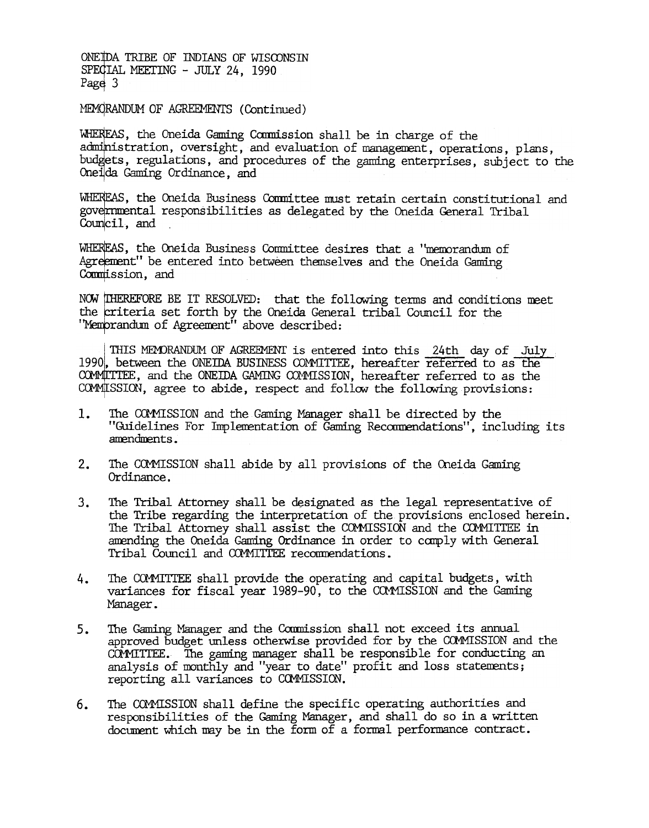ONE TO TRIBE OF INDIANS OF WISCONSIN SPECIAL MEETING - JULY 24, 1990 Page 3

MEMORANDUM OF AGREEMENTS (Continued)

WHEREAS, the Oneida Gaming Commission shall be in charge of the administration, oversight, and evaluation of management, operations, plans, budgets, regulations, and procedures of the gaming enterprises, subject to the Oneida Gaming Ordinance, and

WHEREAS, the Oneida Business Committee must retain certain constitutional and governmental responsibilities as delegated by the Oneida General Tribal Council, and

WHEREAS, the Oneida Business Committee desires that a "memorandum of Agreement" be entered into between themselves and the Oneida Gaming Commission, and

NOW THEREFORE BE IT RESOLVED: that the following terms and conditions meet the criteria set forth by the Oneida General tribal Council for the "Memprandum of Agreement" above described:

THIS MEMORANDUM OF AGREEMENT is entered into this 24th day of July 1990, between the ONEIDA BUSINESS COMMITTEE, hereafter referred to as the COMMITTEE, and the ONEIDA GAMING COMMISSION, hereafter referred to as the COMMISSION, agree to abide, respect and follow the following provisions:

- 1. The COMMISSION and the Gaming Manager shall be directed by the "Guidelines For Implementation of Gaming Recommendations", including its amendments.
- $2.$ The COMMISSION shall abide by all provisions of the Oneida Gaming Ordinance.
- 3. The Tribal Attorney shall be designated as the legal representative of the Tribe regarding the interpretation of the provisions enclosed herein. The Tribal Attorney shall assist the COMMISSION and the COMMITTEE in amending the Oneida Gaming Ordinance in order to comply with General Tribal Council and COMMITTEE recommendations.
- The COMMITTEE shall provide the operating and capital budgets, with 4. variances for fiscal year 1989-90, to the COMMISSION and the Gaming Manager.
- The Gaming Manager and the Commission shall not exceed its annual  $5.$ approved budget unless otherwise provided for by the COMMISSION and the COMMITTEE. The gaming manager shall be responsible for conducting an analysis of monthly and "year to date" profit and loss statements; reporting all variances to COMMISSION.
- The COMMISSION shall define the specific operating authorities and  $6.$ responsibilities of the Gaming Manager, and shall do so in a written document which may be in the form of a formal performance contract.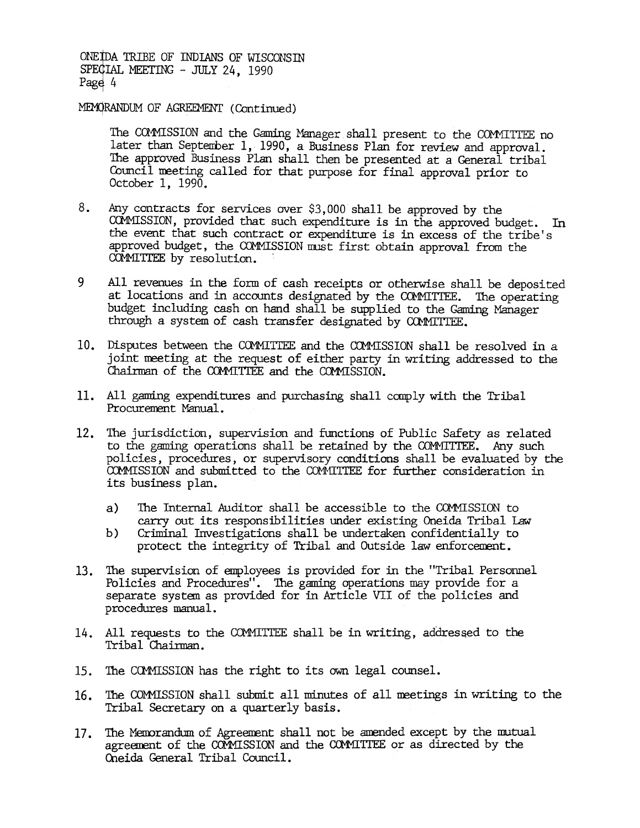ONE IDA TRIBE OF INDIANS OF WISCONSIN SPECIAL MEETING - JULY 24, 1990 Page 4

MEMORANDUM OF AGREEMENT (Continued)

The COMMISSION and the Gaming Manager shall present to the COMMITTEE no later than September 1, 1990, a Business Plan for review and approval. The approved Business Plan shall then be presented at a General tribal Council neeting called for that purpose for final approval prior to October 1,1990.

- 8. Any contracts for services over \$3, 000 shall be approved by the COMMISSION, provided that such expenditure is in the approved budget. In the event that such contract or expenditure is in excess of the tribe's approved budget, the COMMISSION must first obtain approval from the COMMITTEE by resolution.
- 9 All revenues in the form of cash receipts or otherwise shall be deposited at locations and in accounts designated by the COMMITTEE. The operating budget including cash on hand shall be supplied to the Gaming Manager through a system of cash transfer designated by COMMITTEE.
- 10. Disputes between the COMMITTEE and the COMMISSION shall be resolved in a joint neeting at the request of either party in writing addressed to the Chairman of the COMMITTEE and the COMMISSION.
- Procurement Manual.
- 11. All ganing experiments and purchasing shall comply with the Tribal Procurrement Memal,<br>
12. The jurisdiction, supervision and functions of Public Safety as rother to the gaming operations shall be retained by the COMMI 12. The jurisdiction, supervision and functions of Public Safety as related to the gaming operations shall be retained by the COMMITTEE. Any such policies, procedures, or supervisory conditions shall be evaluated by the COMMISSION and submitted to the COMMITTEE for further consideration in its business plan.
	- The Internal Auditor shall be accessible to the COMMISSION to carry out its responsibilities under existing Oneida Tribal law
	- Criminal Investigations shall be tmdertaken confidentially to protect the integrity of Tribal and Outside law enforcement. b)
	- 13. The supervision of employees is provided for in the "Tribal Personnel Policies and Procedures". The gaming operations may provide for a separate systen as provided for in Article VII of the policies and procedures manual.
	- 14. All requests to the COMMITTEE shall be in writing, addressed to the Tribal Chairman.
	- 15. The COMMISSION has the right to its own legal counsel.
	- 16. The COMMISSION shall submit all minutes of all meetings in writing to the Tribal Secretary on a quarterly basis.
	- 17. The Memorandum of Agreement shall not be amended except by the mutual agreement of the COMMISSION and the COMMITTEE or as directed by the Oneida General Tribal Council.